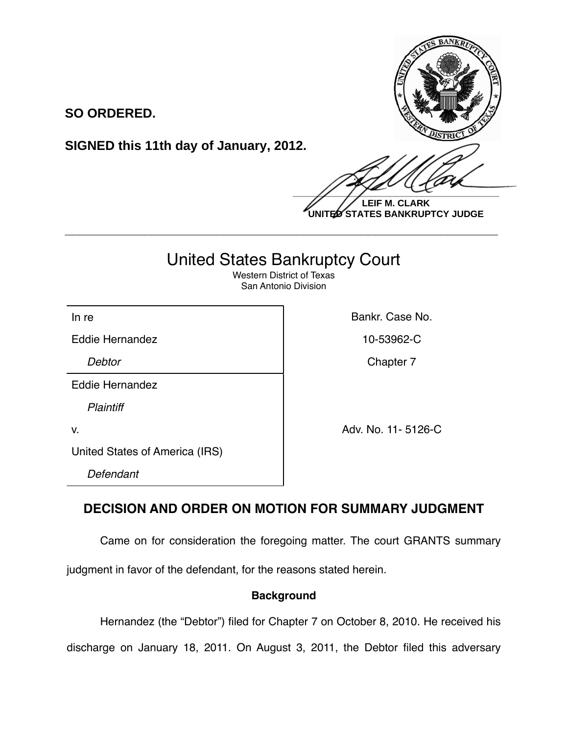

**LEIF M. CLARK UNITED STATES BANKRUPTCY JUDGE**

# United States Bankruptcy Court

**\_\_\_\_\_\_\_\_\_\_\_\_\_\_\_\_\_\_\_\_\_\_\_\_\_\_\_\_\_\_\_\_\_\_\_\_\_\_\_\_\_\_\_\_\_\_\_\_\_\_\_\_\_\_\_\_\_\_\_\_**

Western District of Texas San Antonio Division

In re **Bankr.** Case No.

Eddie Hernandez **10-53962-C** 

**SO ORDERED.**

**SIGNED this 11th day of January, 2012.**

**Debtor** Chapter 7

Eddie Hernandez

*Plaintiff*

v. Adv. No. 11- 5126-C

United States of America (IRS)

*Defendant*

## **DECISION AND ORDER ON MOTION FOR SUMMARY JUDGMENT**

Came on for consideration the foregoing matter. The court GRANTS summary

judgment in favor of the defendant, for the reasons stated herein.

## **Background**

Hernandez (the "Debtor") filed for Chapter 7 on October 8, 2010. He received his

discharge on January 18, 2011. On August 3, 2011, the Debtor filed this adversary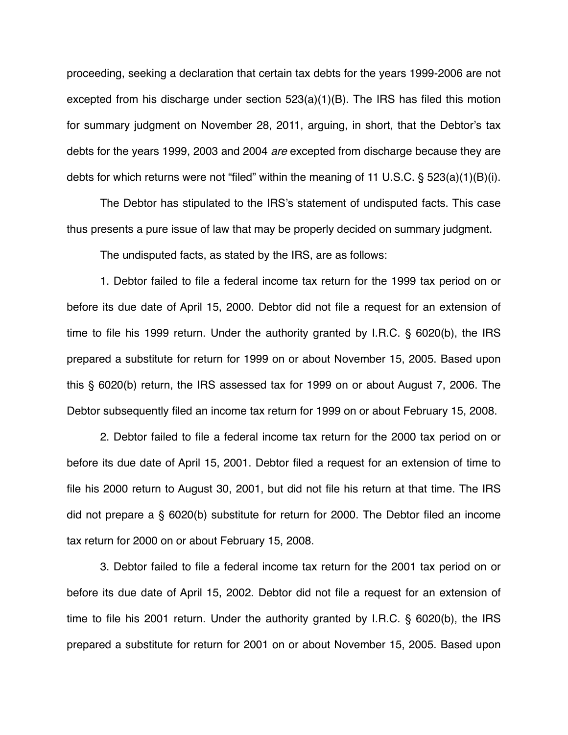proceeding, seeking a declaration that certain tax debts for the years 1999-2006 are not excepted from his discharge under section 523(a)(1)(B). The IRS has filed this motion for summary judgment on November 28, 2011, arguing, in short, that the Debtor's tax debts for the years 1999, 2003 and 2004 *are* excepted from discharge because they are debts for which returns were not "filed" within the meaning of 11 U.S.C. § 523(a)(1)(B)(i).

The Debtor has stipulated to the IRS's statement of undisputed facts. This case thus presents a pure issue of law that may be properly decided on summary judgment.

The undisputed facts, as stated by the IRS, are as follows:

1. Debtor failed to file a federal income tax return for the 1999 tax period on or before its due date of April 15, 2000. Debtor did not file a request for an extension of time to file his 1999 return. Under the authority granted by I.R.C. § 6020(b), the IRS prepared a substitute for return for 1999 on or about November 15, 2005. Based upon this § 6020(b) return, the IRS assessed tax for 1999 on or about August 7, 2006. The Debtor subsequently filed an income tax return for 1999 on or about February 15, 2008.

2. Debtor failed to file a federal income tax return for the 2000 tax period on or before its due date of April 15, 2001. Debtor filed a request for an extension of time to file his 2000 return to August 30, 2001, but did not file his return at that time. The IRS did not prepare a § 6020(b) substitute for return for 2000. The Debtor filed an income tax return for 2000 on or about February 15, 2008.

3. Debtor failed to file a federal income tax return for the 2001 tax period on or before its due date of April 15, 2002. Debtor did not file a request for an extension of time to file his 2001 return. Under the authority granted by I.R.C. § 6020(b), the IRS prepared a substitute for return for 2001 on or about November 15, 2005. Based upon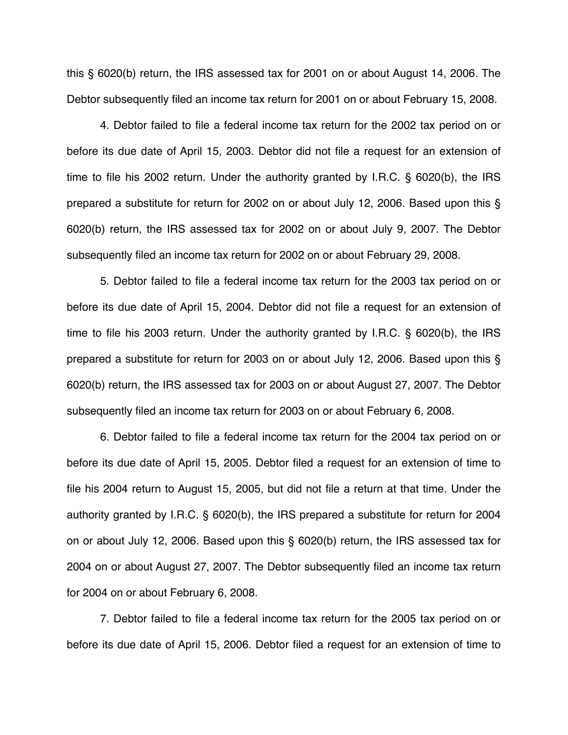this § 6020(b) return, the IRS assessed tax for 2001 on or about August 14, 2006. The Debtor subsequently filed an income tax return for 2001 on or about February 15, 2008.

4. Debtor failed to file a federal income tax return for the 2002 tax period on or before its due date of April 15, 2003. Debtor did not file a request for an extension of time to file his 2002 return. Under the authority granted by I.R.C. § 6020(b), the IRS prepared a substitute for return for 2002 on or about July 12, 2006. Based upon this § 6020(b) return, the IRS assessed tax for 2002 on or about July 9, 2007. The Debtor subsequently filed an income tax return for 2002 on or about February 29, 2008.

5. Debtor failed to file a federal income tax return for the 2003 tax period on or before its due date of April 15, 2004. Debtor did not file a request for an extension of time to file his 2003 return. Under the authority granted by I.R.C. § 6020(b), the IRS prepared a substitute for return for 2003 on or about July 12, 2006. Based upon this § 6020(b) return, the IRS assessed tax for 2003 on or about August 27, 2007. The Debtor subsequently filed an income tax return for 2003 on or about February 6, 2008.

6. Debtor failed to file a federal income tax return for the 2004 tax period on or before its due date of April 15, 2005. Debtor filed a request for an extension of time to file his 2004 return to August 15, 2005, but did not file a return at that time. Under the authority granted by I.R.C. § 6020(b), the IRS prepared a substitute for return for 2004 on or about July 12, 2006. Based upon this § 6020(b) return, the IRS assessed tax for 2004 on or about August 27, 2007. The Debtor subsequently filed an income tax return for 2004 on or about February 6, 2008.

7. Debtor failed to file a federal income tax return for the 2005 tax period on or before its due date of April 15, 2006. Debtor filed a request for an extension of time to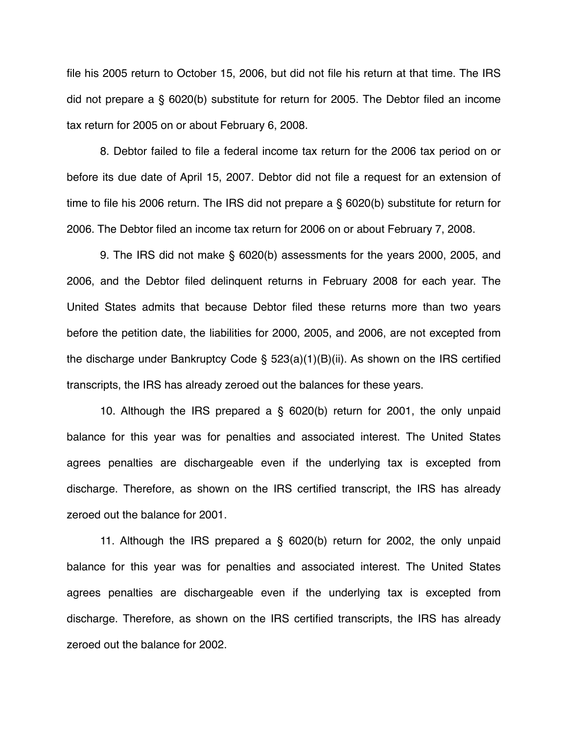file his 2005 return to October 15, 2006, but did not file his return at that time. The IRS did not prepare a § 6020(b) substitute for return for 2005. The Debtor filed an income tax return for 2005 on or about February 6, 2008.

8. Debtor failed to file a federal income tax return for the 2006 tax period on or before its due date of April 15, 2007. Debtor did not file a request for an extension of time to file his 2006 return. The IRS did not prepare a § 6020(b) substitute for return for 2006. The Debtor filed an income tax return for 2006 on or about February 7, 2008.

9. The IRS did not make § 6020(b) assessments for the years 2000, 2005, and 2006, and the Debtor filed delinquent returns in February 2008 for each year. The United States admits that because Debtor filed these returns more than two years before the petition date, the liabilities for 2000, 2005, and 2006, are not excepted from the discharge under Bankruptcy Code § 523(a)(1)(B)(ii). As shown on the IRS certified transcripts, the IRS has already zeroed out the balances for these years.

10. Although the IRS prepared a § 6020(b) return for 2001, the only unpaid balance for this year was for penalties and associated interest. The United States agrees penalties are dischargeable even if the underlying tax is excepted from discharge. Therefore, as shown on the IRS certified transcript, the IRS has already zeroed out the balance for 2001.

11. Although the IRS prepared a § 6020(b) return for 2002, the only unpaid balance for this year was for penalties and associated interest. The United States agrees penalties are dischargeable even if the underlying tax is excepted from discharge. Therefore, as shown on the IRS certified transcripts, the IRS has already zeroed out the balance for 2002.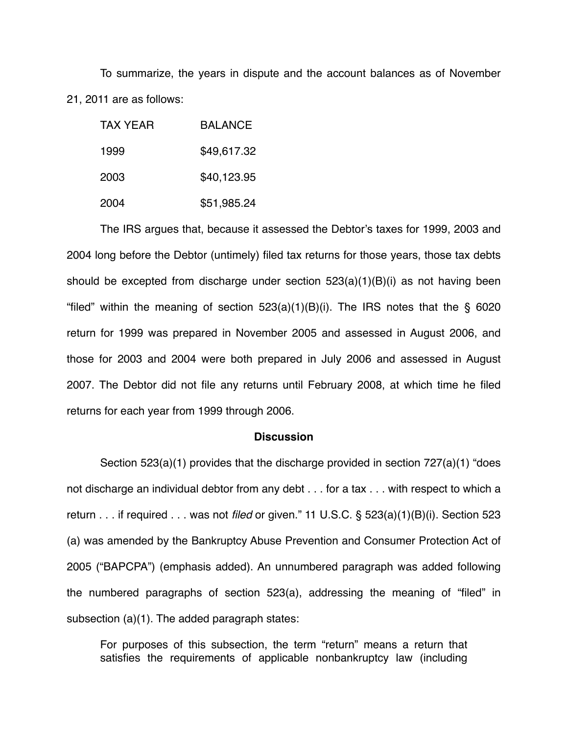To summarize, the years in dispute and the account balances as of November 21, 2011 are as follows:

| TAX YFAR | <b>BALANCE</b> |
|----------|----------------|
| 1999     | \$49,617.32    |
| 2003     | \$40,123.95    |
| 2004     | \$51,985.24    |

The IRS argues that, because it assessed the Debtor's taxes for 1999, 2003 and 2004 long before the Debtor (untimely) filed tax returns for those years, those tax debts should be excepted from discharge under section  $523(a)(1)(B)(i)$  as not having been "filed" within the meaning of section  $523(a)(1)(B)(i)$ . The IRS notes that the § 6020 return for 1999 was prepared in November 2005 and assessed in August 2006, and those for 2003 and 2004 were both prepared in July 2006 and assessed in August 2007. The Debtor did not file any returns until February 2008, at which time he filed returns for each year from 1999 through 2006.

### **Discussion**

Section 523(a)(1) provides that the discharge provided in section 727(a)(1) "does not discharge an individual debtor from any debt . . . for a tax . . . with respect to which a return . . . if required . . . was not *filed* or given." 11 U.S.C. § 523(a)(1)(B)(i). Section 523 (a) was amended by the Bankruptcy Abuse Prevention and Consumer Protection Act of 2005 ("BAPCPA") (emphasis added). An unnumbered paragraph was added following the numbered paragraphs of section 523(a), addressing the meaning of "filed" in subsection (a)(1). The added paragraph states:

For purposes of this subsection, the term "return" means a return that satisfies the requirements of applicable nonbankruptcy law (including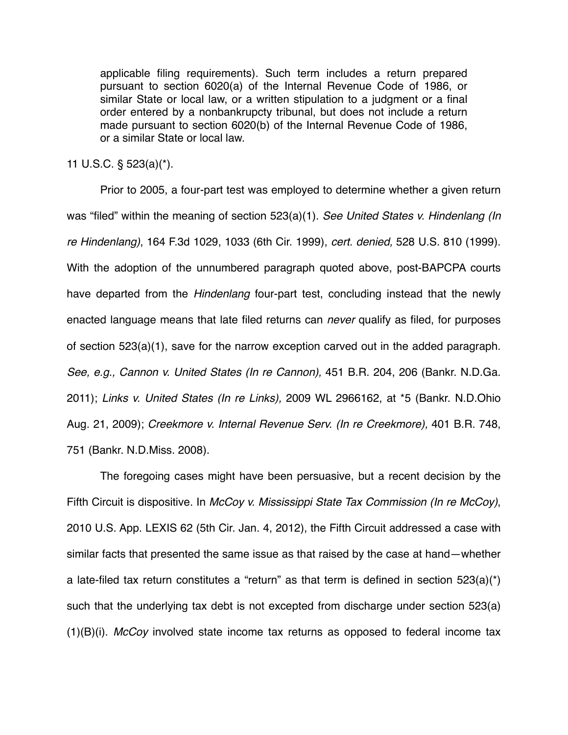applicable filing requirements). Such term includes a return prepared pursuant to section 6020(a) of the Internal Revenue Code of 1986, or similar State or local law, or a written stipulation to a judgment or a final order entered by a nonbankrupcty tribunal, but does not include a return made pursuant to section 6020(b) of the Internal Revenue Code of 1986, or a similar State or local law.

11 U.S.C. § 523(a)(\*).

Prior to 2005, a four-part test was employed to determine whether a given return was "filed" within the meaning of section 523(a)(1). *See United States v. Hindenlang (In re Hindenlang)*, 164 F.3d 1029, 1033 (6th Cir. 1999), *cert. denied,* 528 U.S. 810 (1999). With the adoption of the unnumbered paragraph quoted above, post-BAPCPA courts have departed from the *Hindenlang* four-part test, concluding instead that the newly enacted language means that late filed returns can *never* qualify as filed, for purposes of section 523(a)(1), save for the narrow exception carved out in the added paragraph. *See, e.g., Cannon v. United States (In re Cannon),* 451 B.R. 204, 206 (Bankr. N.D.Ga. 2011); *Links v. United States (In re Links),* 2009 WL 2966162, at \*5 (Bankr. N.D.Ohio Aug. 21, 2009); *Creekmore v. Internal Revenue Serv. (In re Creekmore),* 401 B.R. 748, 751 (Bankr. N.D.Miss. 2008).

The foregoing cases might have been persuasive, but a recent decision by the Fifth Circuit is dispositive. In *McCoy v. Mississippi State Tax Commission (In re McCoy)*, 2010 U.S. App. LEXIS 62 (5th Cir. Jan. 4, 2012), the Fifth Circuit addressed a case with similar facts that presented the same issue as that raised by the case at hand—whether a late-filed tax return constitutes a "return" as that term is defined in section  $523(a)$ <sup>\*</sup>) such that the underlying tax debt is not excepted from discharge under section 523(a) (1)(B)(i). *McCoy* involved state income tax returns as opposed to federal income tax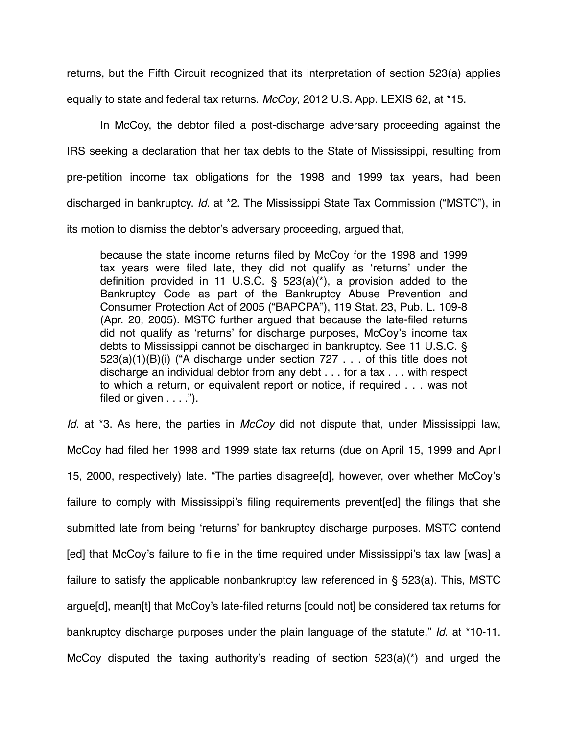returns, but the Fifth Circuit recognized that its interpretation of section 523(a) applies equally to state and federal tax returns. *McCoy*, 2012 U.S. App. LEXIS 62, at \*15.

In McCoy, the debtor filed a post-discharge adversary proceeding against the IRS seeking a declaration that her tax debts to the State of Mississippi, resulting from pre-petition income tax obligations for the 1998 and 1999 tax years, had been discharged in bankruptcy. *Id*. at \*2. The Mississippi State Tax Commission ("MSTC"), in its motion to dismiss the debtor's adversary proceeding, argued that,

because the state income returns filed by McCoy for the 1998 and 1999 tax years were filed late, they did not qualify as ʻreturns' under the definition provided in 11 U.S.C.  $\frac{6}{5}$  523(a)(\*), a provision added to the Bankruptcy Code as part of the Bankruptcy Abuse Prevention and Consumer Protection Act of 2005 ("BAPCPA"), 119 Stat. 23, Pub. L. 109-8 (Apr. 20, 2005). MSTC further argued that because the late-filed returns did not qualify as ʻreturns' for discharge purposes, McCoy's income tax debts to Mississippi cannot be discharged in bankruptcy. See 11 U.S.C. § 523(a)(1)(B)(i) ("A discharge under section 727 . . . of this title does not discharge an individual debtor from any debt . . . for a tax . . . with respect to which a return, or equivalent report or notice, if required . . . was not filed or given  $\dots$  .").

*Id*. at \*3. As here, the parties in *McCoy* did not dispute that, under Mississippi law, McCoy had filed her 1998 and 1999 state tax returns (due on April 15, 1999 and April 15, 2000, respectively) late. "The parties disagree[d], however, over whether McCoy's failure to comply with Mississippi's filing requirements prevent[ed] the filings that she submitted late from being ʻreturns' for bankruptcy discharge purposes. MSTC contend [ed] that McCoy's failure to file in the time required under Mississippi's tax law [was] a failure to satisfy the applicable nonbankruptcy law referenced in § 523(a). This, MSTC argue[d], mean[t] that McCoy's late-filed returns [could not] be considered tax returns for bankruptcy discharge purposes under the plain language of the statute." *Id*. at \*10-11. McCoy disputed the taxing authority's reading of section 523(a)(\*) and urged the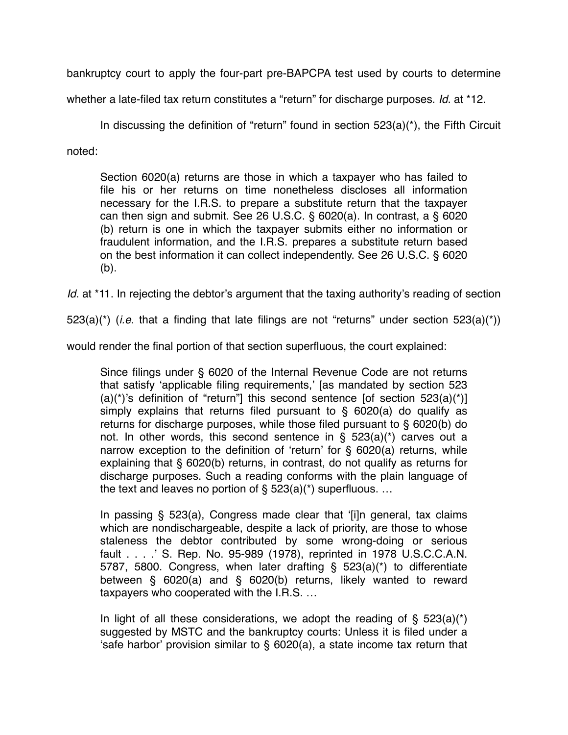bankruptcy court to apply the four-part pre-BAPCPA test used by courts to determine

whether a late-filed tax return constitutes a "return" for discharge purposes. *Id*. at \*12.

In discussing the definition of "return" found in section 523(a)(\*), the Fifth Circuit

noted:

Section 6020(a) returns are those in which a taxpayer who has failed to file his or her returns on time nonetheless discloses all information necessary for the I.R.S. to prepare a substitute return that the taxpayer can then sign and submit. See 26 U.S.C.  $\S$  6020(a). In contrast, a  $\S$  6020 (b) return is one in which the taxpayer submits either no information or fraudulent information, and the I.R.S. prepares a substitute return based on the best information it can collect independently. See 26 U.S.C. § 6020 (b).

*Id.* at \*11. In rejecting the debtor's argument that the taxing authority's reading of section

523(a)(\*) (*i.e*. that a finding that late filings are not "returns" under section 523(a)(\*))

would render the final portion of that section superfluous, the court explained:

Since filings under § 6020 of the Internal Revenue Code are not returns that satisfy ʻapplicable filing requirements,' [as mandated by section 523 (a)(\*)'s definition of "return"] this second sentence [of section  $523(a)(*)$ ] simply explains that returns filed pursuant to  $\S$  6020(a) do qualify as returns for discharge purposes, while those filed pursuant to § 6020(b) do not. In other words, this second sentence in § 523(a)(\*) carves out a narrow exception to the definition of ʻreturn' for § 6020(a) returns, while explaining that § 6020(b) returns, in contrast, do not qualify as returns for discharge purposes. Such a reading conforms with the plain language of the text and leaves no portion of  $\S$  523(a)(\*) superfluous. ...

In passing § 523(a), Congress made clear that ʻ[i]n general, tax claims which are nondischargeable, despite a lack of priority, are those to whose staleness the debtor contributed by some wrong-doing or serious fault . . . .' S. Rep. No. 95-989 (1978), reprinted in 1978 U.S.C.C.A.N. 5787, 5800. Congress, when later drafting § 523(a)(\*) to differentiate between § 6020(a) and § 6020(b) returns, likely wanted to reward taxpayers who cooperated with the I.R.S. …

In light of all these considerations, we adopt the reading of  $\S$  523(a)(\*) suggested by MSTC and the bankruptcy courts: Unless it is filed under a ʻsafe harbor' provision similar to § 6020(a), a state income tax return that